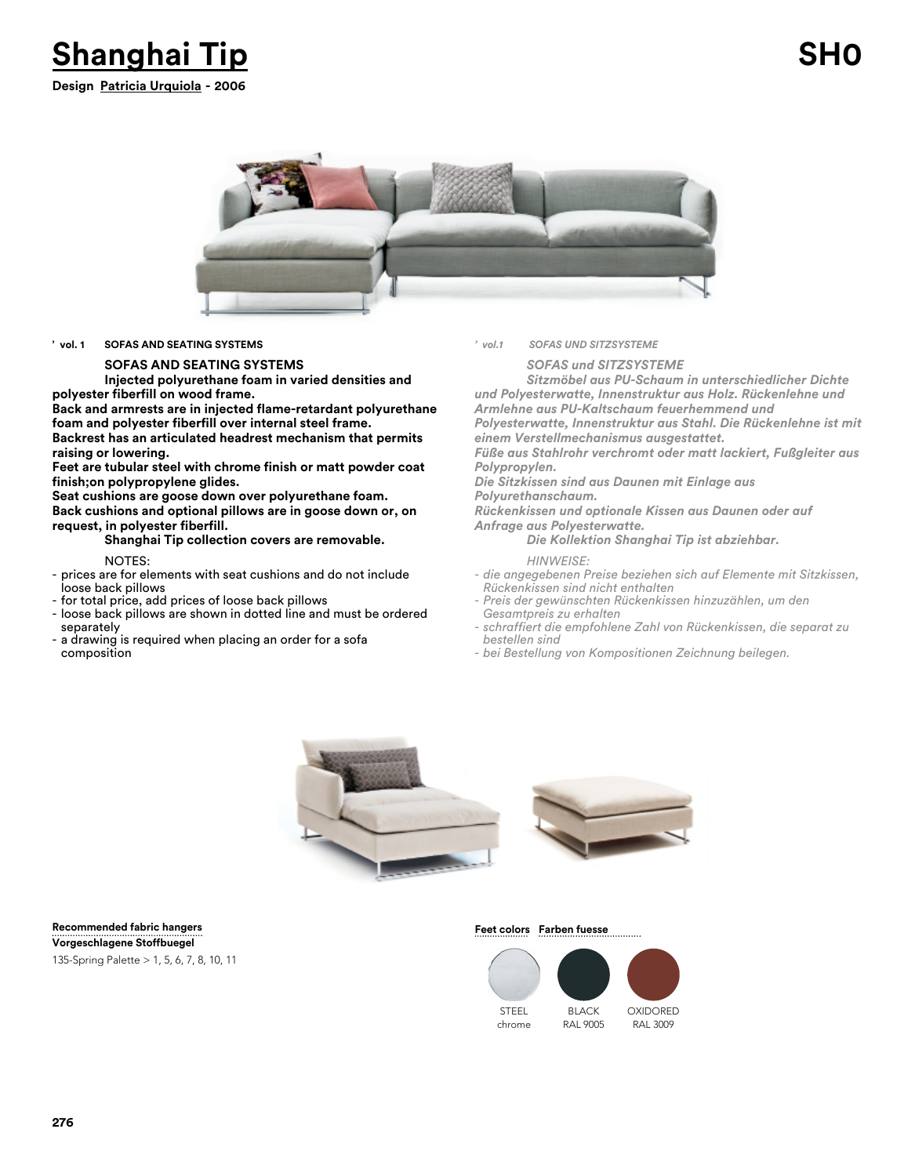



### **' vol. 1 SOFAS AND SEATING SYSTEMS**

### **SOFAS AND SEATING SYSTEMS**

**Injected polyurethane foam in varied densities and polyester fiberfill on wood frame.** 

**Back and armrests are in injected flame-retardant polyurethane foam and polyester fiberfill over internal steel frame. Backrest has an articulated headrest mechanism that permits raising or lowering.**

**Feet are tubular steel with chrome finish or matt powder coat finish;on polypropylene glides.**

**Seat cushions are goose down over polyurethane foam. Back cushions and optional pillows are in goose down or, on request, in polyester fiberfill.**

## **Shanghai Tip collection covers are removable.**

NOTES:

- prices are for elements with seat cushions and do not include loose back pillows
- for total price, add prices of loose back pillows
- loose back pillows are shown in dotted line and must be ordered separately
- a drawing is required when placing an order for a sofa composition

*' vol.1 SOFAS UND SITZSYSTEME*

*SOFAS und SITZSYSTEME*

*Sitzmöbel aus PU-Schaum in unterschiedlicher Dichte und Polyesterwatte, Innenstruktur aus Holz. Rückenlehne und Armlehne aus PU-Kaltschaum feuerhemmend und Polyesterwatte, Innenstruktur aus Stahl. Die Rückenlehne ist mit*

*einem Verstellmechanismus ausgestattet.*

*Füße aus Stahlrohr verchromt oder matt lackiert, Fußgleiter aus Polypropylen.* 

*Die Sitzkissen sind aus Daunen mit Einlage aus Polyurethanschaum.* 

*Rückenkissen und optionale Kissen aus Daunen oder auf*

*Anfrage aus Polyesterwatte. Die Kollektion Shanghai Tip ist abziehbar.*

*HINWEISE:*

- *die angegebenen Preise beziehen sich auf Elemente mit Sitzkissen, Rückenkissen sind nicht enthalten*
- *Preis der gewünschten Rückenkissen hinzuzählen, um den Gesamtpreis zu erhalten*
- *schraffiert die empfohlene Zahl von Rückenkissen, die separat zu bestellen sind*
- *bei Bestellung von Kompositionen Zeichnung beilegen.*



### **Recommended fabric hangers**

135-Spring Palette > 1, 5, 6, 7, 8, 10, 11 **Vorgeschlagene Stoffbuegel**

### **Feet colors** Farben fuesse

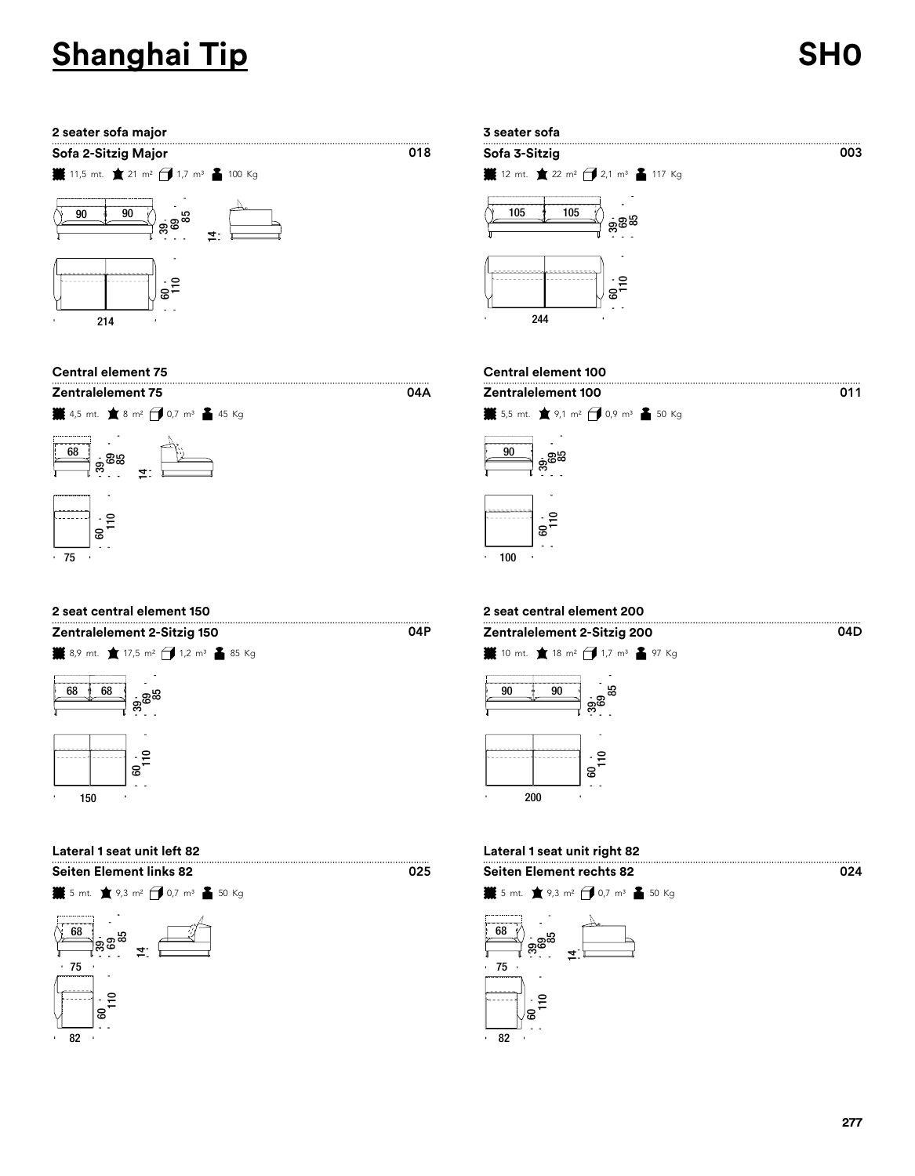### **2 seater sofa major 3 seater sofa**







| Zentralelement 2-Sitzig 150 |  |                                                             |  |  |  |  |  |
|-----------------------------|--|-------------------------------------------------------------|--|--|--|--|--|
|                             |  | #8,9 mt. ★ 17,5 m <sup>2</sup> → 1,2 m <sup>3</sup> ▲ 85 Kg |  |  |  |  |  |



| <b>Seiten Element links 82</b> |
|--------------------------------|
|--------------------------------|







### **Central element 75 Central element 100**

04A

04P



## **2 seat central element 150 2 seat central element 200**



### **Lateral 1 seat unit left 82 Lateral 1 seat unit right 82**





##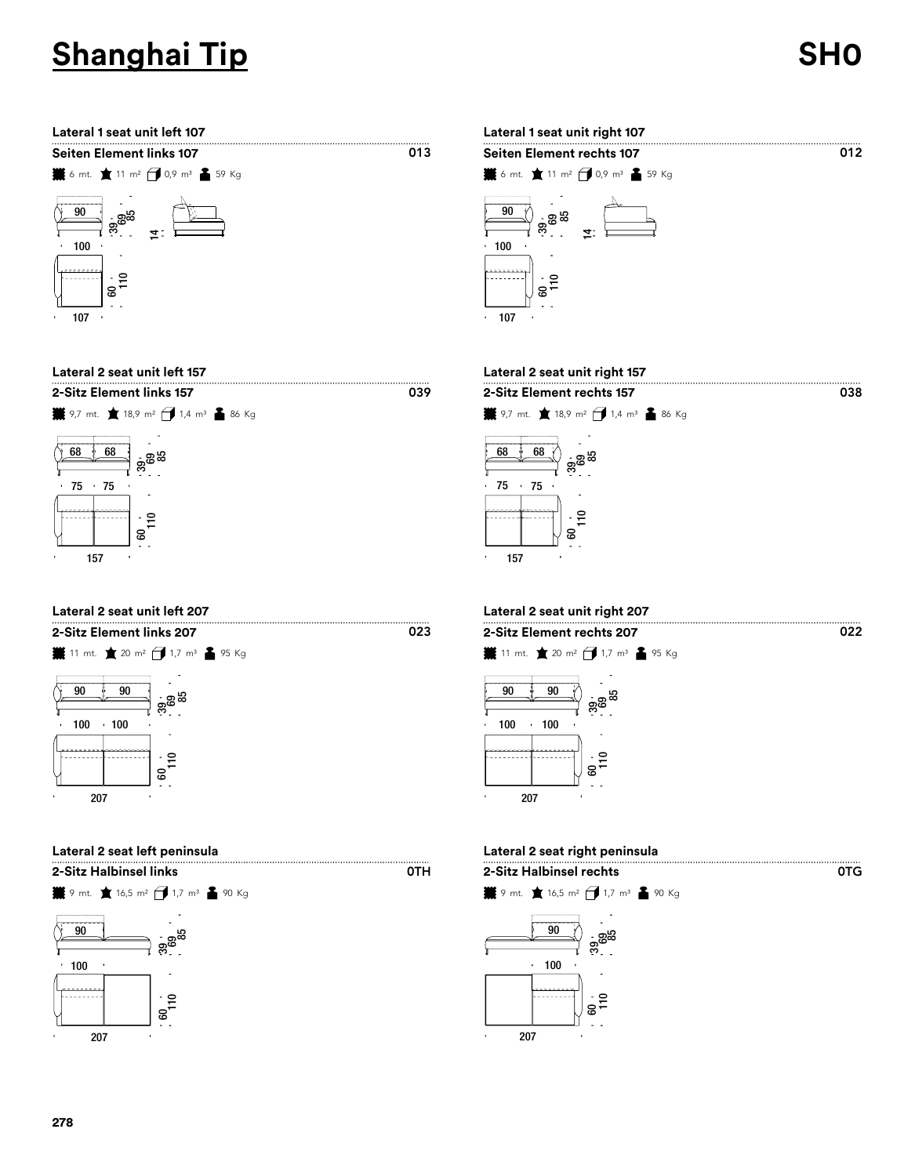



  $\ddot{\phantom{a}}$ 

.<br>ទ

**2-Sitz Element links 157 2-Sitz Element rechts 157**





  $\frac{1}{10}$ 





**Lateral 2 seat unit left 157 Lateral 2 seat unit right 157**



 $\overline{013}$ 

0TH

### **Lateral 2 seat unit left 207 Lateral 2 seat unit right 207**

 





### **Lateral 2 seat left peninsula Lateral 2 seat right peninsula**

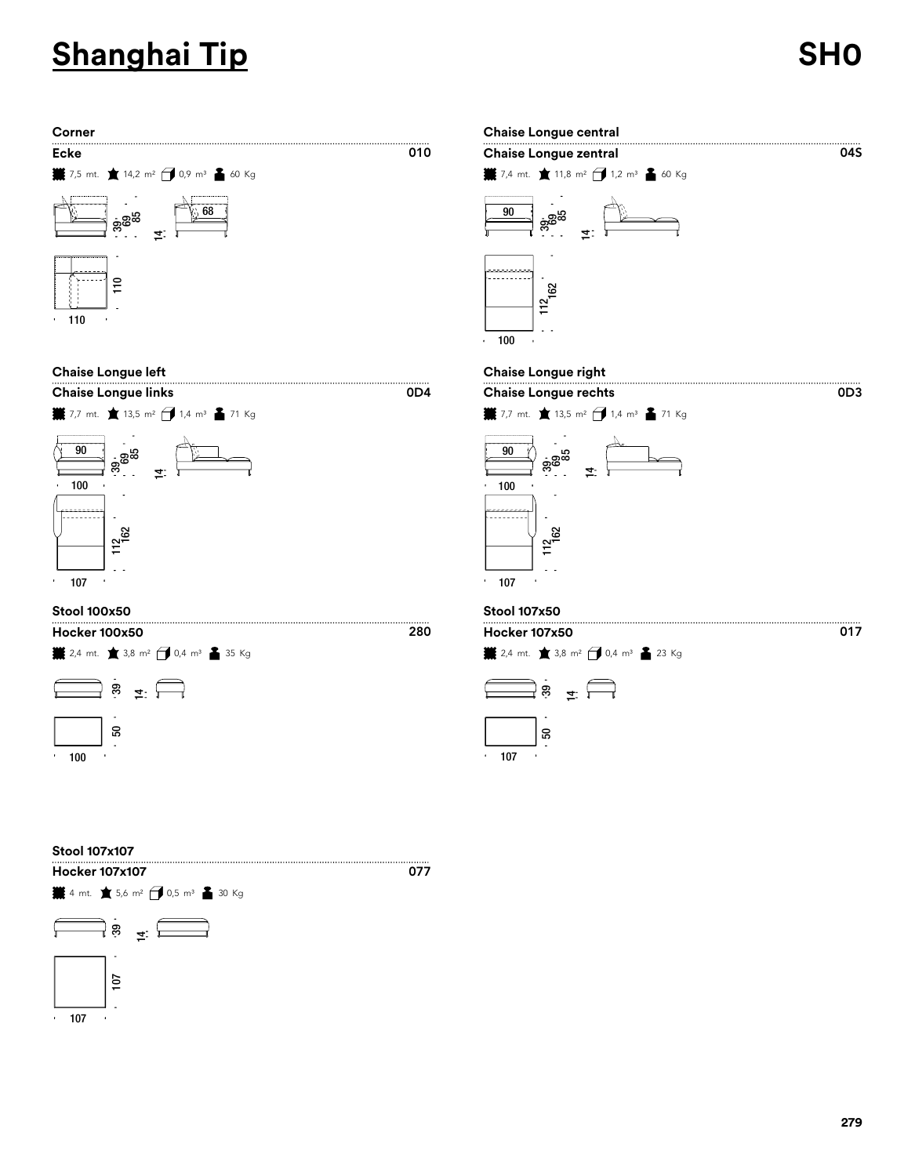0D3









## $04S$ **¥** 7,4 mt. ★ 11,8 m<sup>2</sup> → 1,2 m<sup>3</sup> ▲ 60 Kg ಕ್ಲಿ<br>ಹಿ  $\frac{112}{162}$ 162 39.<br>162

 $0D4$ 

### **Chaise Longue left Chaise Longue right**





### **Stool 100x50 Stool 107x50**

 $\frac{1}{2}$  2,4 mt.  $\pm$  3,8 m<sup>2</sup>  $\pm$  0,4 m<sup>3</sup>  $\pm$  23 Kg



### **Stool 107x107**

**Hocker 107x107** $\frac{1}{2}$  4 mt.  $\pm$  5,6 m<sup>2</sup>  $\frac{1}{2}$  0,5 m<sup>3</sup>  $\frac{2}{2}$  30 Kg  $\frac{1}{2}$  39  $\overline{10}$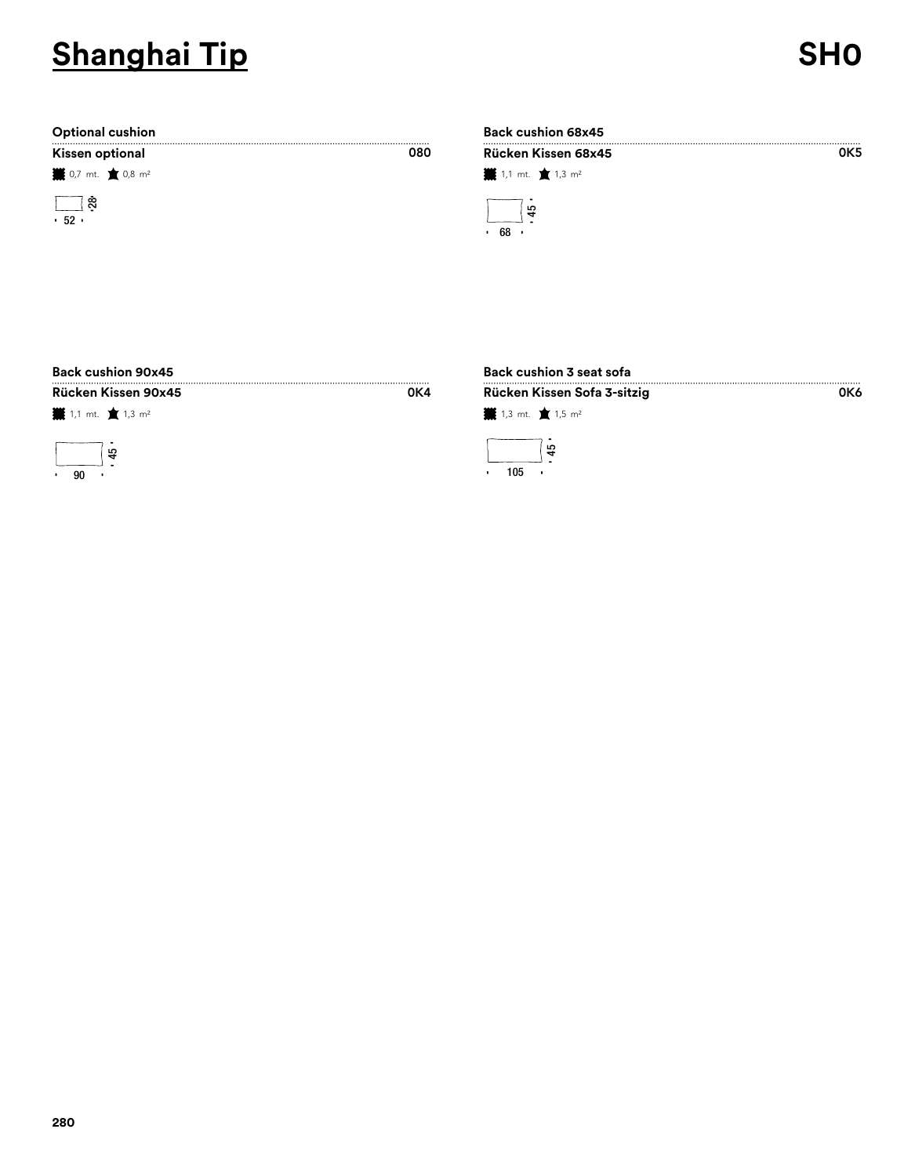.........<br>0К5

0K6

| Kissen optional |  |
|-----------------|--|
|-----------------|--|

**業** 0,7 mt. ★ 0,8 m<sup>2</sup>



### **Optional cushion Back cushion 68x45 Kissen optional Rücken Kissen 68x45**

| RUCREII RISSEII OOX43          |  |  |  |  |  |
|--------------------------------|--|--|--|--|--|
| ■ 1,1 mt. ■ 1,3 m <sup>2</sup> |  |  |  |  |  |
| ្ម្រ<br>68                     |  |  |  |  |  |

## **Back cushion 90x45 Back cushion 3 seat sofa**

**叢** 1,1 mt. ★ 1,3 m<sup>2</sup>



| <br>um. |  |
|---------|--|
|         |  |
| v<br>۰. |  |

080

# **¥** 1,3 mt. ★ 1,5 m<sup>2</sup>  $45 -$ **Rücken Kissen 90x45 Rücken Kissen Sofa 3-sitzig**

105  $\bar{1}$  $\ddot{\phantom{a}}$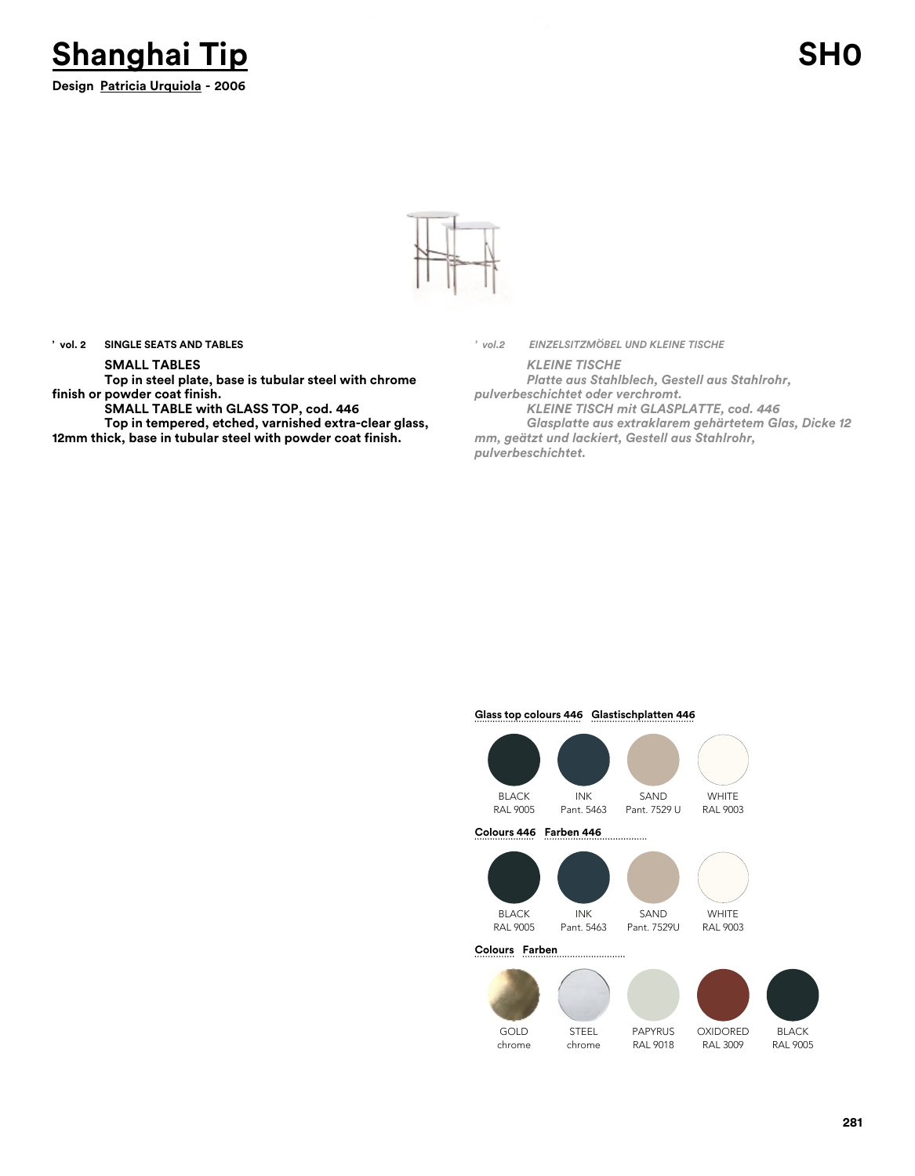



**' vol. 2 SINGLE SEATS AND TABLES**

### **SMALL TABLES**

**Top in steel plate, base is tubular steel with chrome finish or powder coat finish.**

**SMALL TABLE with GLASS TOP, cod. 446**

**Top in tempered, etched, varnished extra-clear glass, 12mm thick, base in tubular steel with powder coat finish.**

*' vol.2 EINZELSITZMÖBEL UND KLEINE TISCHE*

*KLEINE TISCHE Platte aus Stahlblech, Gestell aus Stahlrohr, pulverbeschichtet oder verchromt.*

*KLEINE TISCH mit GLASPLATTE, cod. 446 Glasplatte aus extraklarem gehärtetem Glas, Dicke 12 mm, geätzt und lackiert, Gestell aus Stahlrohr, pulverbeschichtet.*

### **Glass top colours 446 Glastischplatten 446**